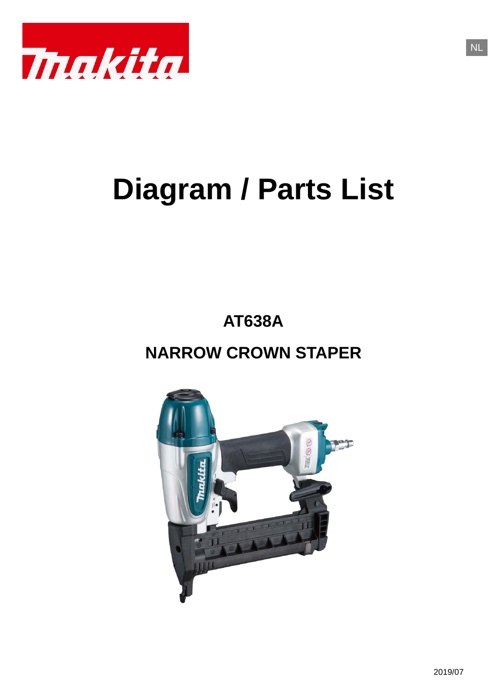

# **Diagram / Parts List**

**AT638A**

# **NARROW CROWN STAPER**

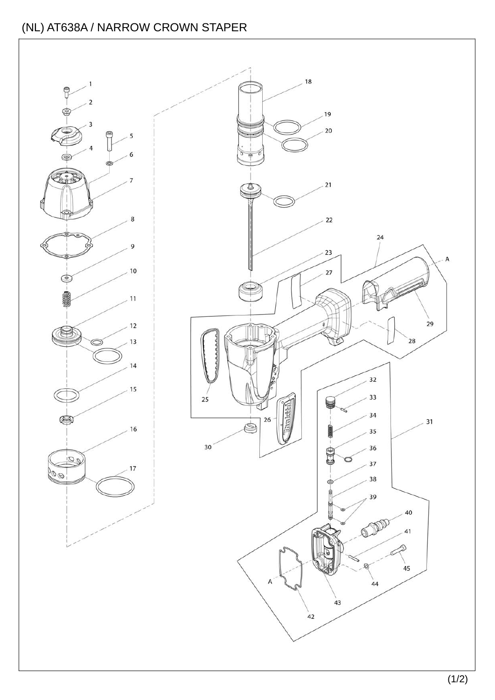#### (NL) AT638A / NARROW CROWN STAPER

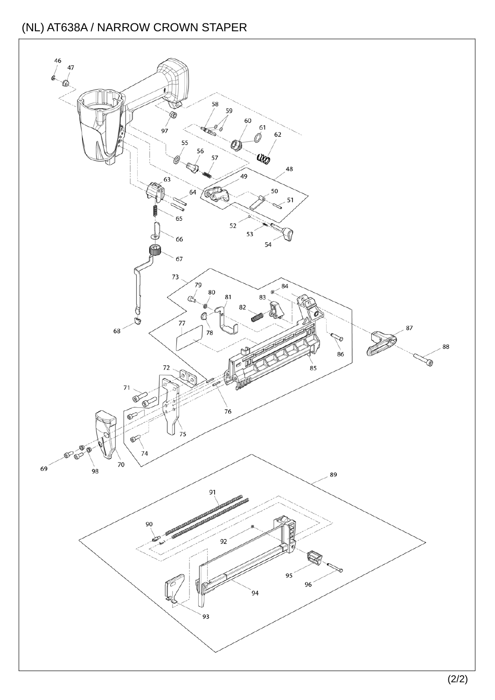#### (NL) AT638A / NARROW CROWN STAPER

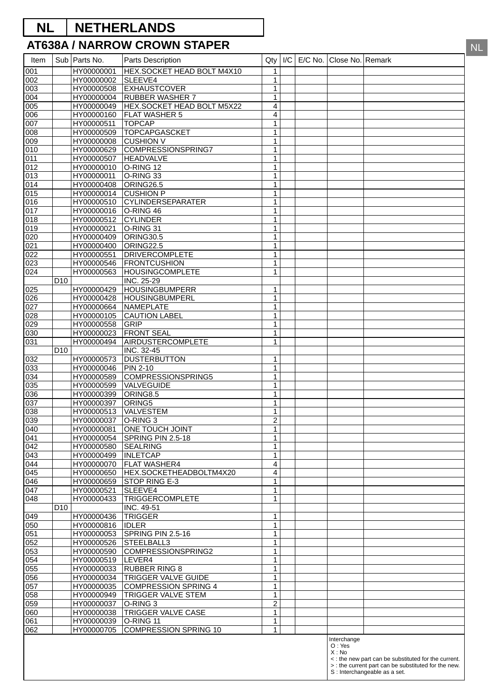## **NL NETHERLANDS**

#### **AT638A / NARROW CROWN STAPER**

| Item       |                 | Sub   Parts No.          | Parts Description                                    | Qty                            | I/C | $E/C$ No. | Close No. Remark |                                                      |
|------------|-----------------|--------------------------|------------------------------------------------------|--------------------------------|-----|-----------|------------------|------------------------------------------------------|
| 001        |                 | HY00000001               | HEX.SOCKET HEAD BOLT M4X10                           | 1                              |     |           |                  |                                                      |
| 002        |                 | HY00000002               | SLEEVE4                                              | $\mathbf{1}$                   |     |           |                  |                                                      |
| 003        |                 | HY00000508               | <b>EXHAUSTCOVER</b>                                  | $\mathbf{1}$                   |     |           |                  |                                                      |
| 004<br>005 |                 | HY00000004<br>HY00000049 | <b>RUBBER WASHER 7</b><br>HEX.SOCKET HEAD BOLT M5X22 | $\mathbf{1}$<br>$\overline{4}$ |     |           |                  |                                                      |
| 006        |                 | HY00000160               | <b>FLAT WASHER 5</b>                                 | $\overline{\mathbf{4}}$        |     |           |                  |                                                      |
| 007        |                 | HY00000511               | <b>TOPCAP</b>                                        | $\mathbf{1}$                   |     |           |                  |                                                      |
| 008        |                 | HY00000509               | TOPCAPGASCKET                                        | $\mathbf{1}$                   |     |           |                  |                                                      |
| 009        |                 | HY00000008               | <b>CUSHION V</b>                                     | $\mathbf{1}$                   |     |           |                  |                                                      |
| 010<br>011 |                 | HY00000629<br>HY00000507 | <b>COMPRESSIONSPRING7</b><br><b>HEADVALVE</b>        | $\mathbf{1}$<br>$\mathbf{1}$   |     |           |                  |                                                      |
| 012        |                 | HY00000010               | O-RING 12                                            | $\mathbf{1}$                   |     |           |                  |                                                      |
| 013        |                 | HY00000011               | O-RING 33                                            | $\mathbf{1}$                   |     |           |                  |                                                      |
| 014        |                 | HY00000408               | ORING26.5                                            | $\mathbf{1}$                   |     |           |                  |                                                      |
| 015        |                 | HY00000014               | <b>CUSHION P</b>                                     | $\mathbf{1}$                   |     |           |                  |                                                      |
| 016<br>017 |                 | HY00000510<br>HY00000016 | <b>CYLINDERSEPARATER</b><br>O-RING 46                | $\mathbf{1}$<br>$\mathbf{1}$   |     |           |                  |                                                      |
| 018        |                 | HY00000512               | <b>CYLINDER</b>                                      | $\mathbf{1}$                   |     |           |                  |                                                      |
| 019        |                 | HY00000021               | O-RING 31                                            | $\mathbf{1}$                   |     |           |                  |                                                      |
| 020        |                 | HY00000409               | <b>ORING30.5</b>                                     | $\mathbf{1}$                   |     |           |                  |                                                      |
| 021        |                 | HY00000400               | ORING22.5                                            | $\mathbf{1}$                   |     |           |                  |                                                      |
| 022<br>023 |                 | HY00000551<br>HY00000546 | <b>DRIVERCOMPLETE</b><br><b>FRONTCUSHION</b>         | $\mathbf{1}$<br>$\mathbf{1}$   |     |           |                  |                                                      |
| 024        |                 | HY00000563               | <b>HOUSINGCOMPLETE</b>                               | $\mathbf{1}$                   |     |           |                  |                                                      |
|            | D <sub>10</sub> |                          | INC. 25-29                                           |                                |     |           |                  |                                                      |
| 025        |                 | HY00000429               | <b>HOUSINGBUMPERR</b>                                | $\mathbf{1}$                   |     |           |                  |                                                      |
| 026        |                 | HY00000428               | <b>HOUSINGBUMPERL</b>                                | $\mathbf{1}$                   |     |           |                  |                                                      |
| 027<br>028 |                 | HY00000664<br>HY00000105 | NAMEPLATE<br><b>CAUTION LABEL</b>                    | $\mathbf{1}$<br>$\mathbf{1}$   |     |           |                  |                                                      |
| 029        |                 | HY00000558               | <b>GRIP</b>                                          | $\mathbf{1}$                   |     |           |                  |                                                      |
| 030        |                 | HY00000023               | <b>FRONT SEAL</b>                                    | $\mathbf{1}$                   |     |           |                  |                                                      |
| 031        |                 | HY00000494               | AIRDUSTERCOMPLETE                                    | $\mathbf{1}$                   |     |           |                  |                                                      |
|            | D <sub>10</sub> |                          | <b>INC. 32-45</b>                                    |                                |     |           |                  |                                                      |
| 032<br>033 |                 | HY00000573<br>HY00000046 | <b>DUSTERBUTTON</b><br><b>PIN 2-10</b>               | $\mathbf{1}$<br>$\mathbf{1}$   |     |           |                  |                                                      |
| 034        |                 | HY00000589               | COMPRESSIONSPRING5                                   | $\mathbf{1}$                   |     |           |                  |                                                      |
| 035        |                 | HY00000599               | VALVEGUIDE                                           | $\mathbf{1}$                   |     |           |                  |                                                      |
| 036        |                 | HY00000399               | ORING8.5                                             | $\mathbf{1}$                   |     |           |                  |                                                      |
| 037        |                 | HY00000397               | ORING5                                               | $\mathbf{1}$                   |     |           |                  |                                                      |
| 038<br>039 |                 | HY00000513<br>HY00000037 | VALVESTEM<br>O-RING 3                                | $\mathbf{1}$<br>$\overline{2}$ |     |           |                  |                                                      |
| 040        |                 | HY00000081               | ONE TOUCH JOINT                                      | 1                              |     |           |                  |                                                      |
| 041        |                 | HY00000054               | SPRING PIN 2.5-18                                    | $\mathbf{1}$                   |     |           |                  |                                                      |
| 042        |                 | HY00000580               | <b>SEALRING</b>                                      | 1                              |     |           |                  |                                                      |
| 043        |                 | HY00000499               | <b>INLETCAP</b>                                      | $\mathbf{1}$                   |     |           |                  |                                                      |
| 044<br>045 |                 | HY00000070<br>HY00000650 | <b>FLAT WASHER4</b><br>HEX.SOCKETHEADBOLTM4X20       | 4<br>$\overline{4}$            |     |           |                  |                                                      |
| 046        |                 | HY00000659               | STOP RING E-3                                        | 1                              |     |           |                  |                                                      |
| 047        |                 | HY00000521               | SLEEVE4                                              | 1                              |     |           |                  |                                                      |
| 048        |                 | HY00000433               | <b>TRIGGERCOMPLETE</b>                               | 1                              |     |           |                  |                                                      |
|            | D <sub>10</sub> |                          | INC. 49-51                                           |                                |     |           |                  |                                                      |
| 049<br>050 |                 | HY00000436<br>HY00000816 | <b>TRIGGER</b><br><b>IDLER</b>                       | 1<br>$\mathbf{1}$              |     |           |                  |                                                      |
| 051        |                 | HY00000053               | SPRING PIN 2.5-16                                    | $\mathbf{1}$                   |     |           |                  |                                                      |
| 052        |                 | HY00000526               | STEELBALL3                                           | 1                              |     |           |                  |                                                      |
| 053        |                 | HY00000590               | COMPRESSIONSPRING2                                   | 1                              |     |           |                  |                                                      |
| 054        |                 | HY00000519               | LEVER4                                               | $\mathbf{1}$                   |     |           |                  |                                                      |
| 055<br>056 |                 | HY00000033<br>HY00000034 | <b>RUBBER RING 8</b><br>TRIGGER VALVE GUIDE          | $\mathbf{1}$<br>$\mathbf{1}$   |     |           |                  |                                                      |
| 057        |                 | HY00000035               | <b>COMPRESSION SPRING 4</b>                          | 1                              |     |           |                  |                                                      |
| 058        |                 | HY00000949               | TRIGGER VALVE STEM                                   | $\mathbf{1}$                   |     |           |                  |                                                      |
| 059        |                 | HY00000037               | O-RING 3                                             | $\overline{c}$                 |     |           |                  |                                                      |
| 060        |                 | HY00000038               | TRIGGER VALVE CASE                                   | 1                              |     |           |                  |                                                      |
| 061        |                 | HY00000039               | O-RING 11                                            | 1                              |     |           |                  |                                                      |
| 062        |                 | HY00000705               | <b>COMPRESSION SPRING 10</b>                         | 1                              |     |           | Interchange      |                                                      |
|            |                 |                          |                                                      |                                |     |           | O: Yes           |                                                      |
|            |                 |                          |                                                      |                                |     |           | X : No           | <: the new part can be substituted for the current.  |
|            |                 |                          |                                                      |                                |     |           |                  | > : the current part can be substituted for the new. |
|            |                 |                          |                                                      |                                |     |           |                  | S : Interchangeable as a set.                        |

NL